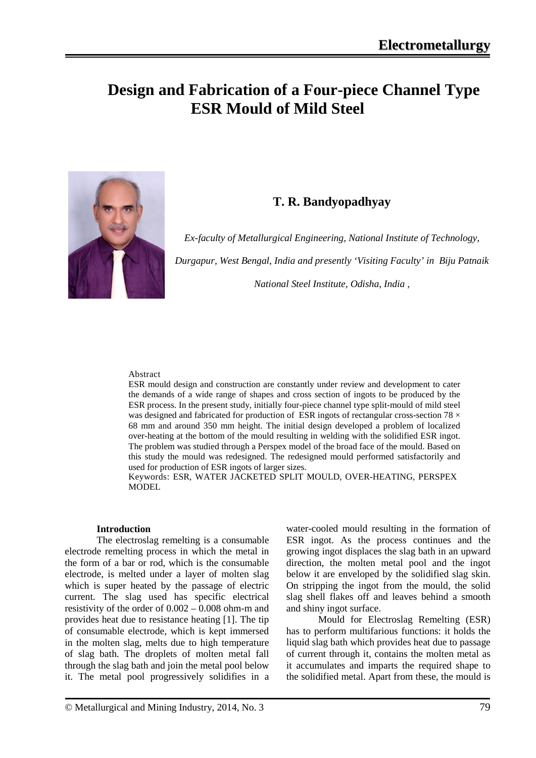# **Design and Fabrication of a Four-piece Channel Type ESR Mould of Mild Steel**



### **T. R. Bandyopadhyay**

*Ex-faculty of Metallurgical Engineering, National Institute of Technology,* 

*Durgapur, West Bengal, India and presently 'Visiting Faculty' in Biju Patnaik* 

*National Steel Institute, Odisha, India ,*

#### Abstract

ESR mould design and construction are constantly under review and development to cater the demands of a wide range of shapes and cross section of ingots to be produced by the ESR process. In the present study, initially four-piece channel type split-mould of mild steel was designed and fabricated for production of ESR ingots of rectangular cross-section 78  $\times$ 68 mm and around 350 mm height. The initial design developed a problem of localized over-heating at the bottom of the mould resulting in welding with the solidified ESR ingot. The problem was studied through a Perspex model of the broad face of the mould. Based on this study the mould was redesigned. The redesigned mould performed satisfactorily and used for production of ESR ingots of larger sizes.

Keywords: ESR, WATER JACKETED SPLIT MOULD, OVER-HEATING, PERSPEX MODEL

#### **Introduction**

The electroslag remelting is a consumable electrode remelting process in which the metal in the form of a bar or rod, which is the consumable electrode, is melted under a layer of molten slag which is super heated by the passage of electric current. The slag used has specific electrical resistivity of the order of 0.002 – 0.008 ohm-m and provides heat due to resistance heating [1]. The tip of consumable electrode, which is kept immersed in the molten slag, melts due to high temperature of slag bath. The droplets of molten metal fall through the slag bath and join the metal pool below it. The metal pool progressively solidifies in a water-cooled mould resulting in the formation of ESR ingot. As the process continues and the growing ingot displaces the slag bath in an upward direction, the molten metal pool and the ingot below it are enveloped by the solidified slag skin. On stripping the ingot from the mould, the solid slag shell flakes off and leaves behind a smooth and shiny ingot surface.

Mould for Electroslag Remelting (ESR) has to perform multifarious functions: it holds the liquid slag bath which provides heat due to passage of current through it, contains the molten metal as it accumulates and imparts the required shape to the solidified metal. Apart from these, the mould is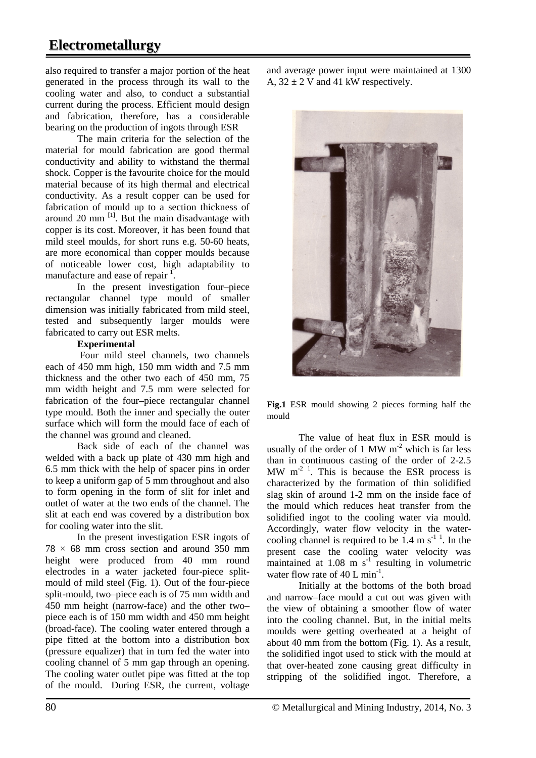# **Electrometallurgy**

also required to transfer a major portion of the heat generated in the process through its wall to the cooling water and also, to conduct a substantial current during the process. Efficient mould design and fabrication, therefore, has a considerable bearing on the production of ingots through ESR

The main criteria for the selection of the material for mould fabrication are good thermal conductivity and ability to withstand the thermal shock. Copper is the favourite choice for the mould material because of its high thermal and electrical conductivity. As a result copper can be used for fabrication of mould up to a section thickness of around 20 mm  $^{[1]}$ . But the main disadvantage with copper is its cost. Moreover, it has been found that mild steel moulds, for short runs e.g. 50-60 heats, are more economical than copper moulds because of noticeable lower cost, high adaptability to manufacture and ease of repair  $\frac{1}{1}$ .

In the present investigation four–piece rectangular channel type mould of smaller dimension was initially fabricated from mild steel, tested and subsequently larger moulds were fabricated to carry out ESR melts.

### **Experimental**

Four mild steel channels, two channels each of 450 mm high, 150 mm width and 7.5 mm thickness and the other two each of 450 mm, 75 mm width height and 7.5 mm were selected for fabrication of the four–piece rectangular channel type mould. Both the inner and specially the outer surface which will form the mould face of each of the channel was ground and cleaned.

Back side of each of the channel was welded with a back up plate of 430 mm high and 6.5 mm thick with the help of spacer pins in order to keep a uniform gap of 5 mm throughout and also to form opening in the form of slit for inlet and outlet of water at the two ends of the channel. The slit at each end was covered by a distribution box for cooling water into the slit.

In the present investigation ESR ingots of  $78 \times 68$  mm cross section and around 350 mm height were produced from 40 mm round electrodes in a water jacketed four-piece splitmould of mild steel (Fig. 1). Out of the four-piece split-mould, two–piece each is of 75 mm width and 450 mm height (narrow-face) and the other two– piece each is of 150 mm width and 450 mm height (broad-face). The cooling water entered through a pipe fitted at the bottom into a distribution box (pressure equalizer) that in turn fed the water into cooling channel of 5 mm gap through an opening. The cooling water outlet pipe was fitted at the top of the mould. During ESR, the current, voltage

and average power input were maintained at 1300 A,  $32 \pm 2$  V and 41 kW respectively.



**Fig.1** ESR mould showing 2 pieces forming half the mould

The value of heat flux in ESR mould is usually of the order of 1 MW  $m<sup>-2</sup>$  which is far less than in continuous casting of the order of 2-2.5 MW  $m<sup>2</sup>$ <sup>1</sup>. This is because the ESR process is characterized by the formation of thin solidified slag skin of around 1-2 mm on the inside face of the mould which reduces heat transfer from the solidified ingot to the cooling water via mould. Accordingly, water flow velocity in the watercooling channel is required to be  $1.4 \text{ m s}^{-1}$ . In the present case the cooling water velocity was maintained at  $1.08 \text{ m s}^{-1}$  resulting in volumetric water flow rate of 40 L  $min^{-1}$ .

Initially at the bottoms of the both broad and narrow–face mould a cut out was given with the view of obtaining a smoother flow of water into the cooling channel. But, in the initial melts moulds were getting overheated at a height of about 40 mm from the bottom (Fig. 1). As a result, the solidified ingot used to stick with the mould at that over-heated zone causing great difficulty in stripping of the solidified ingot. Therefore, a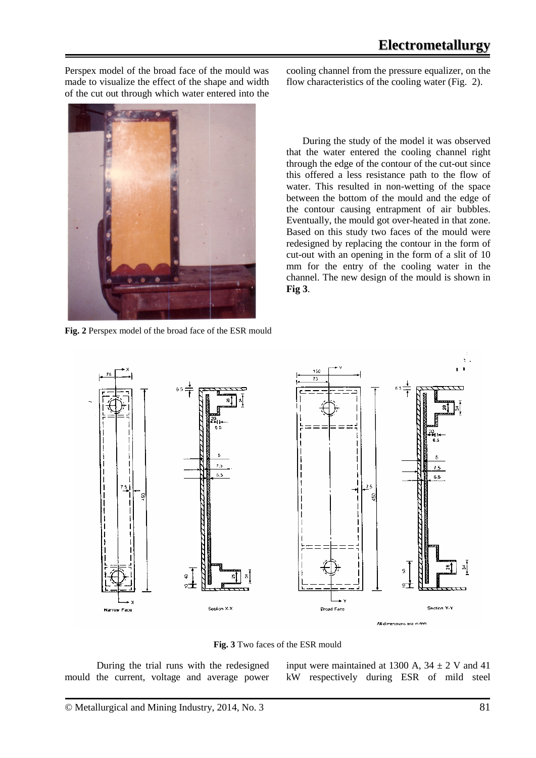Perspex model of the broad face of the mould was made to visualize the effect of the shape and width of the cut out through which water entered into the

 $0.00$ 

**Fig. 2** Perspex model of the broad face of the ESR mould

cooling channel from the pressure equalizer, on the flow characteristics of the cooling water (Fig. 2).

During the study of the model it was observed that the water entered the cooling channel right through the edge of the contour of the cut-out since this offered a less resistance path to the flow of water. This resulted in non-wetting of the space between the bottom of the mould and the edge of the contour causing entrapment of air bubbles. Eventually, the mould got over-heated in that zone. Based on this study two faces of the mould were redesigned by replacing the contour in the form of cut-out with an opening in the form of a slit of 10 mm for the entry of the cooling water in the channel. The new design of the mould is shown in **Fig 3**.



**Fig. 3** Two faces of the ESR mould

During the trial runs with the redesigned mould the current, voltage and average power input were maintained at 1300 A,  $34 \pm 2$  V and 41 kW respectively during ESR of mild steel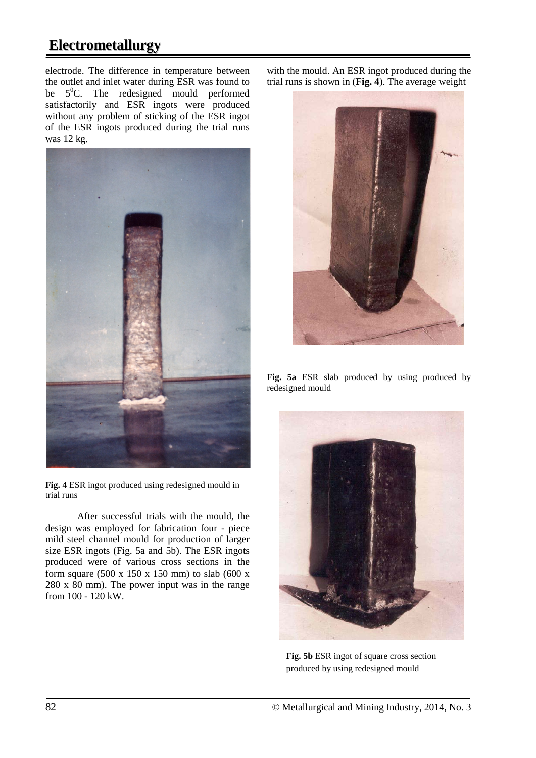# **Electrometallurgy**

electrode. The difference in temperature between the outlet and inlet water during ESR was found to be  $5^0C$ . The redesigned mould performed satisfactorily and ESR ingots were produced without any problem of sticking of the ESR ingot of the ESR ingots produced during the trial runs was 12 kg.



**Fig. 4** ESR ingot produced using redesigned mould in trial runs

After successful trials with the mould, the design was employed for fabrication four - piece mild steel channel mould for production of larger size ESR ingots (Fig. 5a and 5b). The ESR ingots produced were of various cross sections in the form square (500 x 150 x 150 mm) to slab (600 x 280 x 80 mm). The power input was in the range from 100 - 120 kW.

with the mould. An ESR ingot produced during the trial runs is shown in (**Fig. 4**). The average weight



**Fig. 5a** ESR slab produced by using produced by redesigned mould



**Fig. 5b** ESR ingot of square cross section produced by using redesigned mould